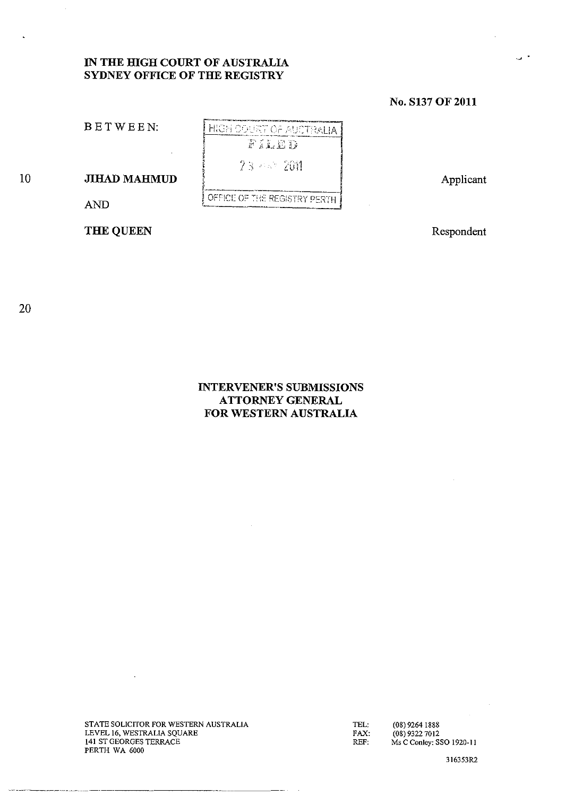# **IN THE HIGH COURT OF AUSTRALIA SYDNEY OFFICE OF THE REGISTRY**

# **No. S137 OF 2011**

BETWEEN:

10 **JIHAD MAHMUD** 

AND

THE QUEEN

Respondent

Applicant

20

# **INTERVENER'S SUBMISSIONS ATTORNEY GENERAL FOR WESTERN AUSTRALIA**

STATE SOLICITOR FOR WESTERN AUSTRALIA LEVEL 16, WESTRALlA SQUARE 141 ST GEORGES TERRACE PERTH WA 6000

TEL: FAX: REF:

(08) 92641888 (08) 9322 7012 **Ms C Conley: SSO 1920-11** 

316353R2

**HIGH COURT OF AUDTRALIA** FILED 23 842 2011 OFFICE OF THE REGISTRY PERTH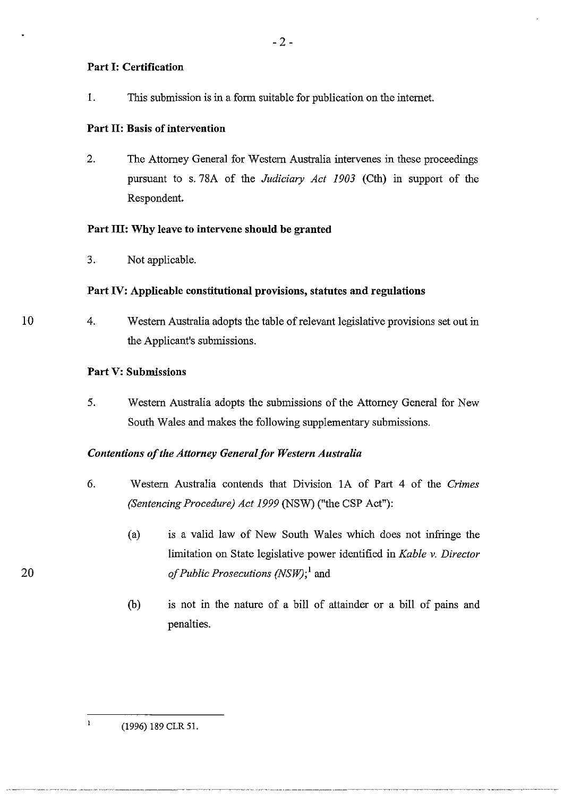# Part I: Certification

1. This submission is in a form suitable for publication on the internet.

# Part 11: Basis of intervention

2. The Attorney General for Western Australia intervenes in these proceedings pursuant to s.78A of the *Judiciary Act 1903* (Cth) in support of the Respondent.

# Part III: Why leave to intervene should be granted

3. Not applicable.

# Part IV: Applicable constitutional provisions, statutes and regulations

10 4. Western Australia adopts the table of relevant legislative provisions set out in the Applicant's submissions.

## Part V: Submissions

5. Western Australia adopts the submissions of the Attorney General for New South Wales and makes the following supplementary submissions.

# *Contentions of the Attorney Generalfor Western Australia*

- 6. Western Australia contends that Division lA of Part 4 of the *Crimes (Sentencing Procedure) Act* 1999 (NSW) ("the CSP Act"):
	- (a) is a valid law of New South Wales which does not infringe the limitation on State legislative power identified in *Kable* v. *Director of Public Prosecutions (NSW);* 1 and
	- (b) is not in the nature of a bill of attainder or a bill of pains and penalties.

 $\mathbf{I}$ 

<sup>(1996) 189</sup> CLR 51.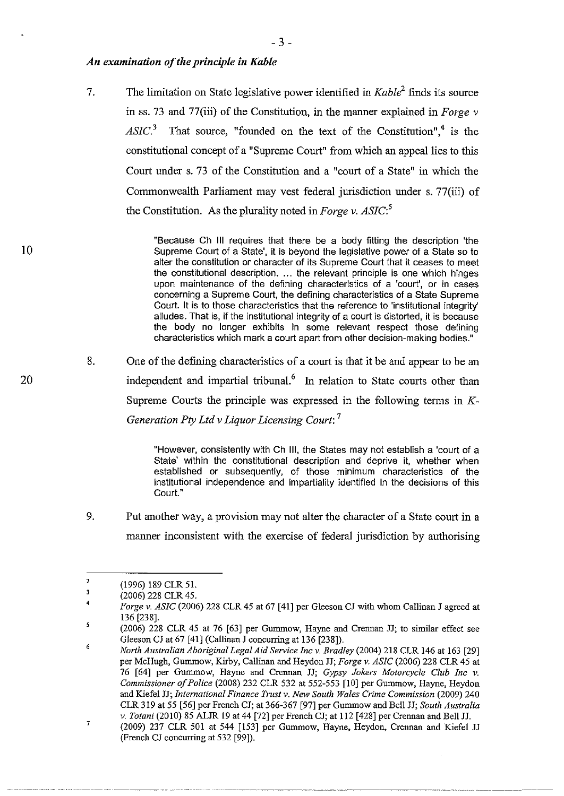## *An examination of the principle in Kable*

7. The limitation on State legislative power identified in *Kable<sup>2</sup>*finds its source in ss. 73 and 77(iii) of the Constitution, in the manner explained in *Forge* v  $ASIC<sup>3</sup>$  That source, "founded on the text of the Constitution",<sup>4</sup> is the constitutional concept of a "Supreme Court" from which an appeal lies to this Court under s. 73 of the Constitution and a "court of a State" in which the Commonwealth Parliament may vest federal jurisdiction under s. 77(iii) of the Constitution. As the plurality noted in *Forge* v. *ASIC:<sup>5</sup>*

> "Because Ch **III** requires that there be a body fitting the description 'the Supreme Court of a State', it is beyond the legislative power of a State so to alter the constitution or character of its Supreme Court that it ceases to meet the constitutional description. ... the relevant principle is one which hinges upon maintenance of the defining characteristics of a 'court', or in cases concerning a Supreme Court, the defining characteristics of a State Supreme Court. It is to those characteristics that the reference to 'institutional integrity' alludes. That is, if the institutional integrity of a court is distorted, it is because the body no longer exhibits in some relevant respect those defining characteristics which mark a court apart from other decision-making bodies."

8. One of the defining characteristics of a court is that it be and appear to be an independent and impartial tribunal.<sup>6</sup> In relation to State courts other than Supreme Courts the principle was expressed in the following terms in  $K$ -*Generation Pty Ltd* v *Liquor Licensing Court: 7* 

> "However, consistently with Ch **Ill,** the States may not establish a 'court of a State' within the constitutional description and deprive it, whether when established or subsequently, of those minimum characteristics of the institutional independence and impartiality identified in the decisions of this Court."

9. Put another way, a provision may not alter the character of a State court in a manner inconsistent with the exercise of federal jurisdiction by authorising

<sup>2</sup>  (1996) 189 CLR 51.

<sup>3</sup>  4 (2006) 228 CLR 45.

<sup>5</sup>  *Forge v. ASIC* (2006) 228 CLR 45 at 67 [41] per Gleeson CJ with whom Callinan J agreed at 136 [238].

<sup>(2006) 228</sup> CLR 45 at 76 [63] per Gunnnow, Hayne and Crennan JJ; to similar effect see Gleeson CJ at 67 [41] (Callinan J concurring at 136 [238]).

<sup>6</sup>  7 *North Australian Aboriginal Legal Aid Service Inc* v. *Bradley* (2004) 218 CLR 146 at 163 [29] per McHugh, Gummow, Kirby, Callinan and Heydon JJ; *Forge* v. *ASIC* (2006) 228 CLR 45 at 76 [64] per Gunnnow, Hayne and Crennan JJ; *Gypsy Jokers Motorcycle Club Inc* v. *Commissioner of Police* (2008) 232 CLR 532 at 552-553 [10] per Gunnnow, Hayne, Heydon and Kiefe1 JJ; *International Finance Trust* v. *New South Wales Crime Commission* (2009) 240 CLR 319 at 55 [56] per French CJ; at 366-367 [97] per Gummow and Bell JJ; *South Australia* v. *Totani* (2010) 85 ALJR 19 at 44 [72] per French CJ; at 112 [428] per Crennan and Bell JJ.

<sup>(2009) 237</sup> CLR 501 at 544 [153] per Gummow, Hayne, Heydon, Crennan and Kiefel JJ (French CJ concurring at 532 [99]).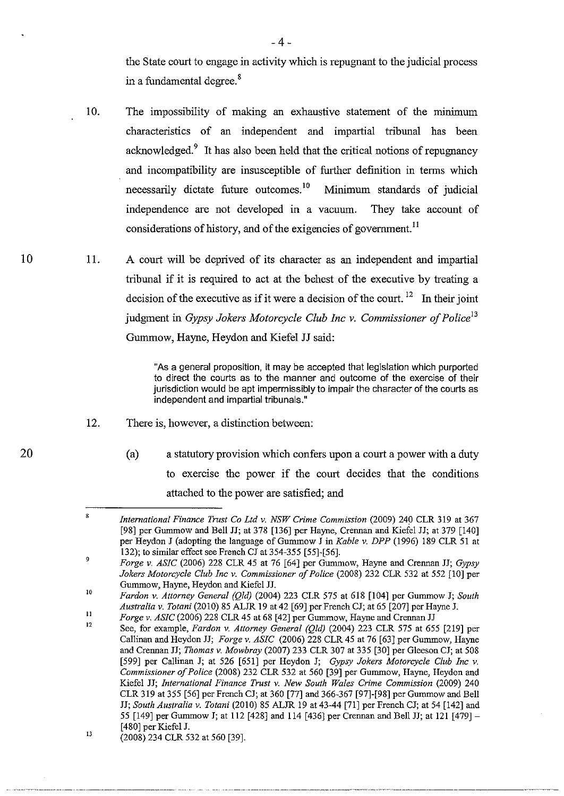the State court to engage in activity which is repugnant to the judicial process in a fundamental degree. 8

- 10. The impossibility of making an exhaustive statement of the minimum characteristics of an independent and impartial tribunal has been acknowledged.<sup>9</sup> It has also been held that the critical notions of repugnancy and incompatibility are insusceptible of further definition in terms which necessarily dictate future outcomes. $10$  Minimum standards of judicial independence are not developed in a vacuum. They take account of considerations of history, and of the exigencies of government.<sup>11</sup>
- 11. A court will be deprived of its character as an independent and impartial tribunal if it is required to act at the behest of the executive by treating a decision of the executive as if it were a decision of the court. <sup>12</sup> In their joint judgment in *Gypsy Jokers Motorcycle Club Inc* v. *Commissioner of Policel3*  Gummow, Hayne, Heydon and Kiefel JJ said:

"As a general proposition, it may be accepted that legislation which purported to direct the courts as to the manner and outcome of the exercise of their jurisdiction would be apt impermissibly to impair the character of the courts as independent and impartial tribunals."

12. There is, however, a distinction between:

10

20

(a) a statutory provision which confers upon a court a power with a duty to exercise the power if the court decides that the conditions attached to the power are satisfied; and

----------

<sup>8</sup>  *International Finance Trust Co Ltd* v. *NSW Crime Commission* (2009) 240 CLR 319 at 367 [98] per Gummow and Bell JJ; at 378 [136] per Hayne, Crennan and Kiefel JJ; at 379 [140] per Heydon J (adopting the language of Gunnnow J in *Kable* v. *DPP* (1996) 189 CLR 51 at 132); to similar effect see French CJ at 354-355 [55]-[56].

<sup>9</sup>  lO *Forge* v. *ASIC* (2006) 228 CLR 45 at 76 [64] per Gunnnow, Hayne and Crennan JJ; *Gypsy Jokers Motorcycle Club Inc v. Commissioner of Police* (2008) 232 CLR 532 at 552 [10] per Gunnnow, Hayne, Heydon and Kiefel JJ.

<sup>11</sup>  *Fardon* v. *Attorney General (Qld)* (2004) 223 CLR 575 at 618 [104] per Gunnnow J; *South Australia* v. *Totani* (2010) 85 ALJR 19 at 42 [69] per French CJ; at 65 [207] per Hayne J.

*Forge* v. *ASIC* (2006) 228 CLR 45 at 68 [42] per Gummow, Hayne and Crennan JJ

<sup>12</sup>  13 See, for example, *Fardon* v. *Attorney General (Qld)* (2004) 223 CLR 575 at 655 [219] per Callinan and Heydon JJ; *Forge* v. *ASIC* (2006) 228 CLR 45 at 76 [63] per Gummow, Hayne and Crennan JJ; *Thomas* v. *Mowbray* (2007) 233 CLR 307 at 335 [30] per Gleeson CJ; at 508 [599] per Callinan J; at 526 [651] per Heydon J; *Gypsy Jokers Motorcycle Club Inc* v. *Commissioner oJ Police* (2008) 232 CLR 532 at 560 [39] per Gunnnow, Hayne, Heydon and Kiefel JJ; *International Finance Trust* v. *New South Wales Crime Commission* (2009) 240 CLR 319 at 355 [56] per French CJ; at 360 [77] and 366-367 [97]-[98] per Gunnnow and Bell JJ; *South Australia* v. *Totani* (2010) 85 ALJR 19 at 43-44 [7l] per French CJ; at 54 [142] and 55 [149] per Gunnnow J; at 112 [428] and 114 [436] per Crennan and Bell JJ; at 121 [479]- [480] per Kiefel J.

<sup>(2008) 234</sup> CLR 532 at 560 [39].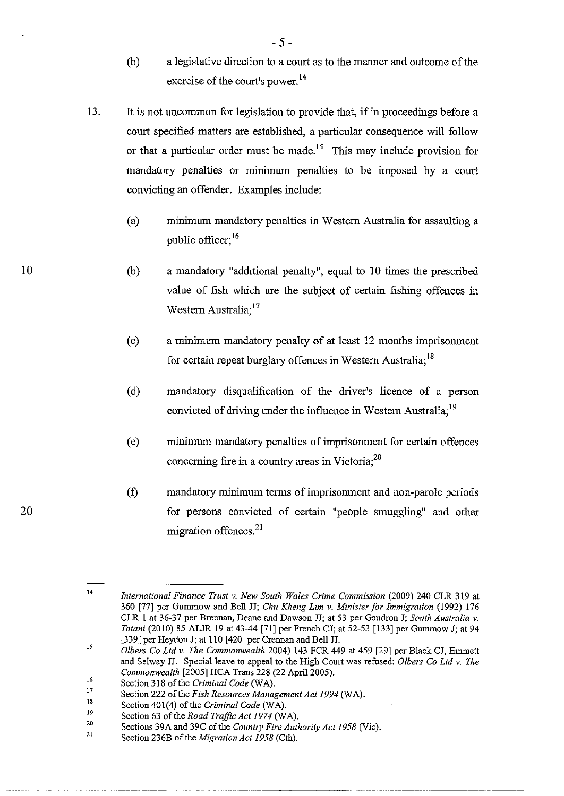- (b) a legislative direction to a court as to the manner and outcome of the exercise of the court's power. 14
- 13. It is not uncommon for legislation to provide that, if in proceedings before a court specified matters are established, a particular consequence will follow or that a particular order must be made.<sup>15</sup> This may include provision for mandatory penalties or minimum penalties to be imposed by a court convicting an offender. Examples include:
	- (a) minimum mandatory penalties in Western Australia for assaulting a public officer; 16
	- (b) a mandatory "additional penalty", equal to 10 times the prescribed value of fish which are the subject of certain fishing offences in Western Australia;<sup>17</sup>
	- (c) a minimum mandatory penalty of at least 12 months imprisonment for certain repeat burglary offences in Western Australia; 18
	- (d) mandatory disqualification of the driver's licence of a person convicted of driving under the influence in Western Australia;<sup>19</sup>
	- ( e) minimum mandatory penalties of imprisonment for certain offences concerning fire in a country areas in Victoria;<sup>20</sup>
	- (t) mandatory minimum terms of imprisonment and non-parole periods for persons convicted of certain "people smuggling" and other migration offences.<sup>21</sup>

<sup>14</sup>  *International Finance Trust* v. *New South Wales Crime Commission* (2009) 240 CLR 319 at 360 [77] per Gummow and Bell H; *Chu Kheng Lim* v. *Minister for Immigration* (1992) 176 CLR I at 36-37 per Brennan, Deane and Dawson H; at 53 per Gaudron J; *South Australia* v. *Totani* (2010) 85 ALJR 19 at 43-44 [71] per French CJ; at 52-53 [133] per Gummow J; at 94 [339] per Heydon J; at 110 [420] per Crennan and Bell JJ.

<sup>15</sup>  *Olbers Co Ltd* v. *The Commonwealth* 2004) 143 FCR 449 at 459 [29] per Black CJ, Emmett and Selway H. Special leave to appeal to the High Court was refused: *Olbers Co Ltd* v. *The Commonwealth* [2005] HCA Trans 228 (22 April 2005).

<sup>16</sup>  17 Section 318 of the *Criminal Code* (WA).

<sup>18</sup>  Section 222 of the *Fish Resources Management Act* 1994 (WA).

<sup>19</sup>  Section 401(4) of the *Criminal Code* (WA).

Section 63 of the *Road Traffic Act* 1974 (WA).

<sup>20</sup>  Sections 39A and 39C of the *Country Fire Authority Act 1958* (Vic).

<sup>21</sup>  Section 236B of the *Migration Act* 1958 (Cth).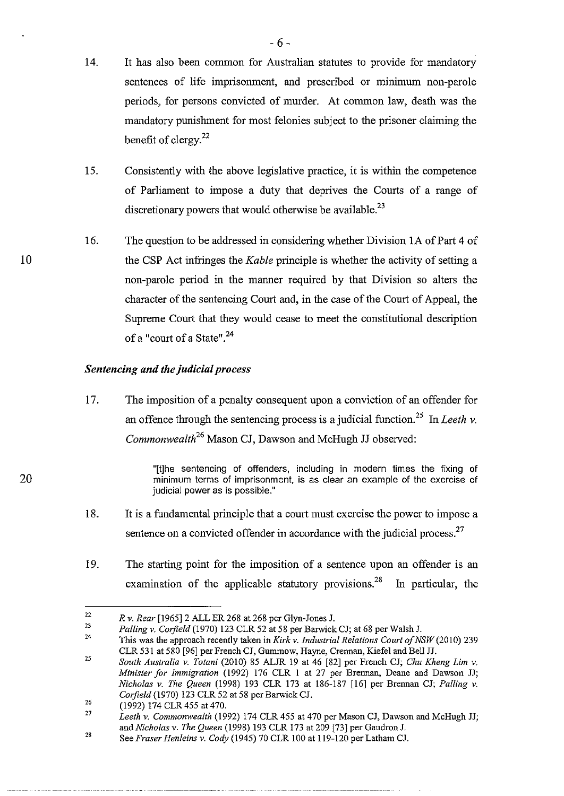- 14. It has also been common for Australian statutes to provide for mandatory sentences of life imprisonment, and prescribed or minimum non-parole periods, for persons convicted of murder. At common law, death was the mandatory punishment for most felonies subject to the prisoner claiming the benefit of clergy.<sup>22</sup>
- 15. Consistently with the above legislative practice, it is within the competence of Parliament to impose a duty that deprives the Courts of a range of discretionary powers that would otherwise be available.<sup>23</sup>
- 16. The question to be addressed in considering whether Division lA of Part 4 of the CSP Act infringes the *Kable* principle is whether the activity of setting a non-parole period in the manner required by that Division so alters the character of the sentencing Court and, in the case of the Court of Appeal, the Supreme Court that they would cease to meet the constitutional description of a "court of a State".<sup>24</sup>

## *Sentencing and the judicial process*

17. The imposition of a penalty consequent upon a conviction of an offender for an offence through the sentencing process is a judicial function.<sup>25</sup> In *Leeth v*. *Commonwealth26* Mason *Cl,* Dawson and McHugh JJ observed:

> "[t]he sentencing of offenders, including in modern times the fixing of minimum terms of imprisonment, is as clear an example of the exercise of judicial power as is possible."

- 18. It is a fundamental principle that a court must exercise the power to impose a sentence on a convicted offender in accordance with the judicial process. $27$
- 19. The starting point for the imposition of a sentence upon an offender is an examination of the applicable statutory provisions.<sup>28</sup> In particular, the

<sup>22</sup>  *Rv. Rear* [1965]2 ALL ER 268 at 268 per Glyn-Jones J.

<sup>23</sup>  *Palling* v. *Corfield* (1970) 123 CLR 52 at 58 per Barwick CJ; at 68 per Wa1sh J.

<sup>24</sup>  This was the approach recently taken in *Kirk* v. *Industrial Relations Court of NSW* (20 10) 239 CLR 531 at 580 [96] per French CJ, Gummow, Hayne, Crennan, Kiefe1 and Bell JJ.

<sup>25</sup>  *South Australia v. Totani* (2010) 85 ALJR 19 at 46 [82] per French CJ; *Chu Kheng Lim v. Minister for Immigration* (1992) 176 CLR 1 at 27 per Brennan, Deane and Dawson JJ; *Nicholas v. The Queen* (1998) 193 CLR 173 at 186-187 [16] per Brennan CJ; *Palling v. Corfield* (1970) 123 CLR 52 at 58 per Barwick CL

<sup>26</sup>  (1992) 174 CLR 455 at 470.

<sup>27</sup>  *Leeth* v. *Commonwealth* (1992) 174 CLR 455 at 470 per Mason CJ, Dawson and McHugh JJ; and *Nicholas* v. *The Queen* (1998) 193 CLR 173 at 209 [73] per Gaudron J.

<sup>28</sup>  See *Fraser Henleins* v. *Cody* (1945) 70 CLR 100 at 119-120 per Latham CJ.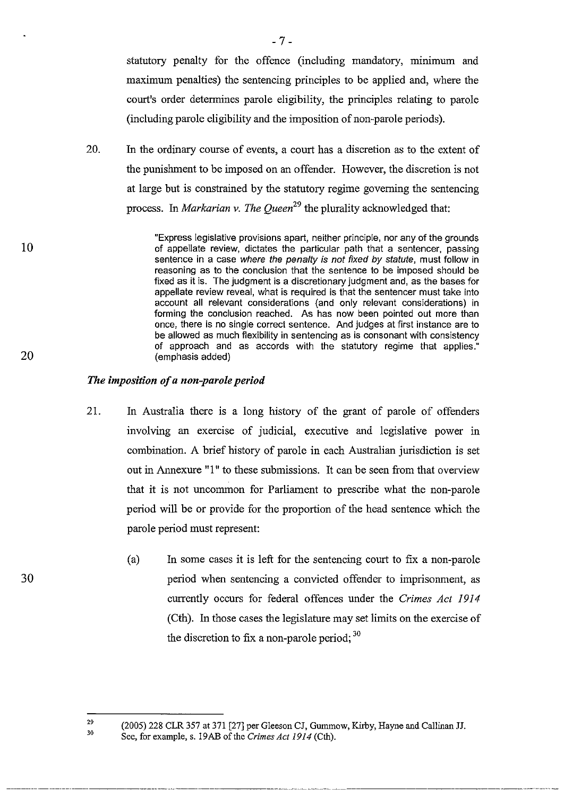statutory penalty for the offence (including mandatory, minimum and maximum penalties) the sentencing principles to be applied and, where the court's order determines parole eligibility, the principles relating to parole (including parole eligibility and the imposition of non-parole periods).

20. In the ordinary course of events, a court has a discretion as to the extent of the punishment to be imposed on an offender. However, the discretion is not at large but is constrained by the statutory regime governing the sentencing process. In *Markarian v. The Queen*<sup>29</sup> the plurality acknowledged that:

> "Express legislative provisions apart, neither principle, nor any of the grounds of appellate review, dictates the particular path that a sentencer, passing sentence in a case where the penalty is not fixed by statute, must follow in reasoning as to the conclusion that the sentence to be imposed should be fixed as it is. The judgment is a discretionary judgment and, as the bases for appellate review reveal, what is required is that the sentencer must take into account all relevant considerations (and only relevant considerations) in forming the conclusion reached. As has now been pointed out more than once, there is no single correct sentence. And judges at first instance are to be aJlowed as much flexibility in sentencing as is consonant with consistency of approach and as accords with the statutory regime that applies." (emphasis added)

## *The imposition of a non-parole period*

--------- -----------~~--~ -\_.\_------- ----------~~-

- 21. In Australia there is a long history of the grant of parole of offenders involving an exercise of judicial, executive and legislative power in combination. A brief history of parole in each Australian jurisdiction is set out in Annexure "1" to these submissions. It can be seen from that overview that it is not uncommon for Parliament to prescribe what the non-parole period will be or provide for the proportion of the head sentence which the parole period must represent:
	- (a) In some cases it is left for the sentencing court to fix a non-parole period when sentencing a convicted offender to imprisonment, as currently occurs for federal offences under the *Crimes Act 1914*  (Cth). In those cases the legislature may set limits on the exercise of the discretion to fix a non-parole period;  $30$

10

<sup>2</sup>' 30 (2005) 228 CLR 357 at 371 [27] per Gleeson CJ, Gunnnow, Kirby, Hayne and Callinan H. See, for example, s. 19AB of the *Crimes Act* 1914 (Cth).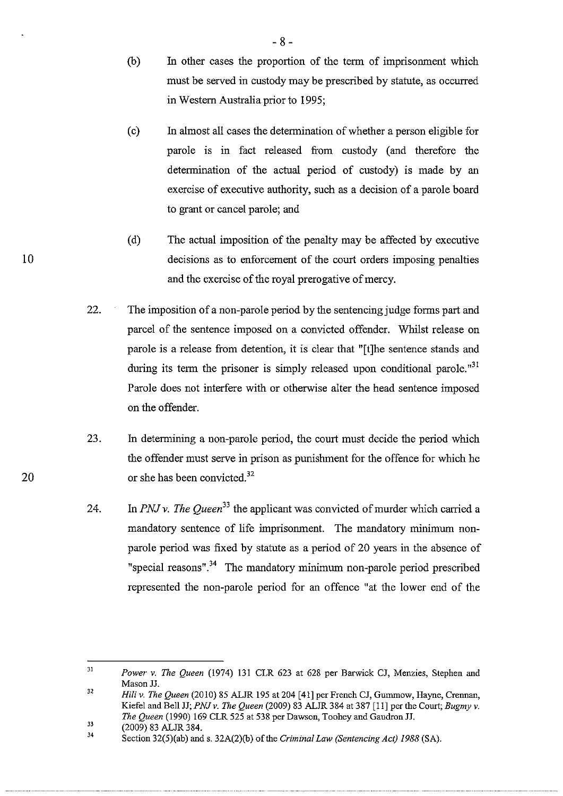- (b) In other cases the proportion of the term of imprisonment which must be served in custody may be prescribed by statute, as occurred in Western Australia prior to 1995;
- ( c) In almost all cases the determination of whether a person eligible for parole is in fact released from custody (and therefore the determination of the actual period of custody) is made by an exercise of executive authority, such as a decision of a parole board to grant or cancel parole; and
- (d) The actual imposition of the penalty may be affected by executive decisions as to enforcement of the court orders imposing penalties and the exercise of the royal prerogative of mercy.
- 22. The imposition of a non-parole period by the sentencing judge forms part and parcel of the sentence imposed on a convicted offender. Whilst release on parole is a release from detention, it is clear that "[t]he sentence stands and during its term the prisoner is simply released upon conditional parole.<sup> $n<sup>31</sup>$ </sup> Parole does not interfere with or otherwise alter the head sentence imposed on the offender.
- 23. In determining a non-parole period, the court must decide the period which the offender must serve in prison as punishment for the offence for which he or she has been convicted.<sup>32</sup>
- 24. In *PNJ* v. *The Queen<sup>33</sup>*the applicant was convicted of murder which carried a mandatory sentence of life imprisonment. The mandatory minimum nonparole period was fixed by statute as a period of 20 years in the absence of "special reasons".<sup>34</sup> The mandatory minimum non-parole period prescribed represented the non-parole period for an offence "at the lower end of the

Jl *Power* v. *The Queen* (1974) 131 CLR 623 at 628 per Barwick CJ, Menzies, Stephen and Mason JJ.

<sup>32</sup>  *Hili* v. *The Queen* (2010) 85 ALJR 195 at 204 [41] per French CJ, Gummow, Hayne, Crennan, Kiefe1 and Bell JJ; *PNJ* v. *The Queen* (2009) 83 ALJR 384 at 387 [11] per the Court; *Bugmy* v. *The Queen* (1990) 169 CLR 525 at 538 per Dawson, Toohey and GaudronJJ.

<sup>33</sup>  (2009) 83 ALJR 384.

<sup>34</sup>  Section 32(5)(ab) and s. 32A(2)(b) of the *Criminal Law (Sentencing Act)* 1988 (SA).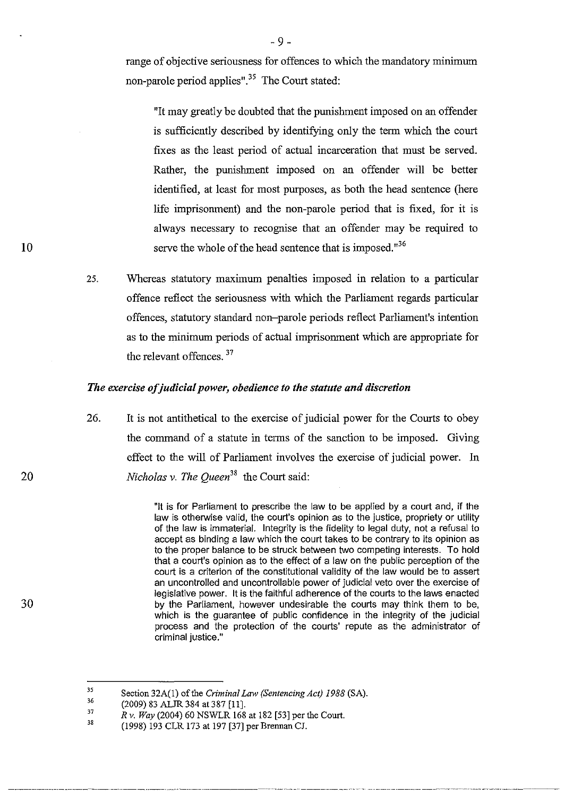range of objective seriousness for offences to which the mandatory minimum non-parole period applies".<sup>35</sup> The Court stated:

"It may greatly be doubted that the punishment imposed on an offender is sufficiently described by identifying only the term which the court fixes as the least period of actual incarceration that must be served. Rather, the punishment imposed on an offender will be better identified, at least for most purposes, as both the head sentence (here life imprisonment) and the non-parole period that is fixed, for it is always necessary to recognise that an offender may be required to serve the whole of the head sentence that is imposed.<sup>"36</sup>

25. Whereas statutory maximum penalties imposed in relation to a particular offence reflect the seriousness with which the Parliament regards particular offences, statutory standard non-parole periods reflect Parliament's intention as to the minimum periods of actual imprisonment which are appropriate for the relevant offences.<sup>37</sup>

## *The exercise of judicial power, obedience to the statute and discretion*

26. It is not antithetical to the exercise of judicial power for the Courts to obey the command of a statute in terms of the sanction to be imposed. Giving effect to the will of Parliament involves the exercise of judicial power. In *Nicholas v. The Queen*<sup>38</sup> the Court said:

> "It is for Parliament to prescribe the law to be applied by a court and, if the law is otherwise valid, the court's opinion as to the justice, propriety or utility of the law is immaterial. Integrity is the fidelity to legal duty, not a refusal to accept as binding a law which the court takes to be contrary to its opinion as to the proper balance to be struck between two competing interests. To hold that a court's opinion as to the effect of a law on the public perception of the court is a criterion of the constitutional validity of the law would be to assert an uncontrolled and uncontrollable power of judicial veto over the exercise of legislative power. It is the faithful adherence of the courts to the laws enacted by the Parliament, however undesirable the courts may think them to be, which is the guarantee of public confidence in the integrity of the judicial process and the protection of the courts' repute as the administrator of criminal justice."

30

<sup>35</sup>  Section 32A(l) of the *Criminal Law (Sentencing Act)* 1988 (SA).

<sup>36</sup>  (2009) 83 ALJR 384 at 387 [Ill

<sup>37</sup>  38 *Rv. Way* (2004) 60 NSWLR 168 at 182 [53] per the Court.

<sup>(1998) 193</sup> CLR 173 at 197 [37] per Brennan CJ.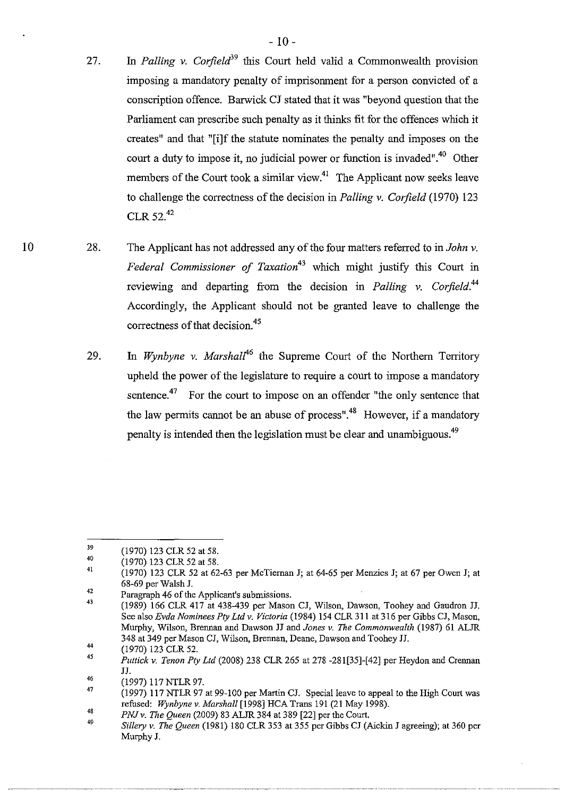- 27. In *Palling v. Corfield*<sup>39</sup> this Court held valid a Commonwealth provision imposing a mandatory penalty of imprisonment for a person convicted of a conscription offence. Barwick CJ stated that it was "beyond question that the Parliament can prescribe such penalty as it thinks fit for the offences which it creates" and that "[i]f the statute nominates the penalty and imposes on the court a duty to impose it, no judicial power or function is invaded".<sup>40</sup> Other members of the Court took a similar view.<sup>41</sup> The Applicant now seeks leave to challenge the correctness of the decision in *Palling* v. *Corjield* (1970) 123 CLR52.<sup>42</sup>
- 28. The Applicant has not addressed any of the four matters referred to in *John* v. *Federal Commissioner of Taxation*<sup>43</sup> which might justify this Court in reviewing and departing from the decision in *Palling* v. *Corjield.<sup>44</sup>* Accordingly, the Applicant should not be granted leave to challenge the correctness of that decision.<sup>45</sup>
	- 29. In *Wynbyne y. Marshall*<sup>46</sup> the Supreme Court of the Northern Territory upheld the power of the legislature to require a court to impose a mandatory sentence.<sup>47</sup> For the court to impose on an offender "the only sentence that the law permits cannot be an abuse of process".<sup>48</sup> However, if a mandatory penalty is intended then the legislation must be clear and unambiguous.<sup>49</sup>

<sup>39</sup> (1970) 123 CLR 52 at 58.

<sup>40</sup>  (1970) 123 CLR 52 at 58.

<sup>41</sup>  (1970) 123 CLR 52 at 62-63 per McTieman J; al 64-65 per Menzies J; al 67 per Owen J; at 68-69 per Wa1sh J.

<sup>42</sup>  Paragraph 46 of the Applicant's submissions.

<sup>43</sup>  (1989) 166 CLR 417 at 438-439 per Mason CJ, Wilson, Dawson, Toohey and Gaudron JJ. See also *Evda Nominees Ply Ltd v. Victoria* (1984) 154 CLR 311 at 316 per Gibbs CJ, Mason, Murphy, Wilson, Brennan and Dawson JJ and *Jones v. The Commonwealth* (1987) 61 ALJR 348 at 349 per Mason CJ, Wilson, Brennan, Deane, Dawson and Toohey JJ.

<sup>44</sup>  (1970) 123 CLR 52.

<sup>45</sup>  *Puttick v. Tenon Pty Ltd* (2008) 238 CLR 265 at 278 -281[35]-[42] per Heydon and Crennan JJ.

<sup>46</sup>  (1997) 117 NTLR 97.

<sup>47</sup>  (1997) 117 NTLR 97 at 99-100 per Martin CJ. Special leave to appeal to the High Court was refused: Wynbyne v. Marshall [1998] HCA Trans 191 (21 May 1998).

<sup>48</sup>  *PNJ v. The Queen* (2009) 83 ALJR 384 at 389 [22] per the Court.

<sup>49</sup>  *Sillery v. The Queen* (1981) 180 CLR 353 at 355 per Gibbs CJ (Aickin J agreeing); at 360 per Murphy J.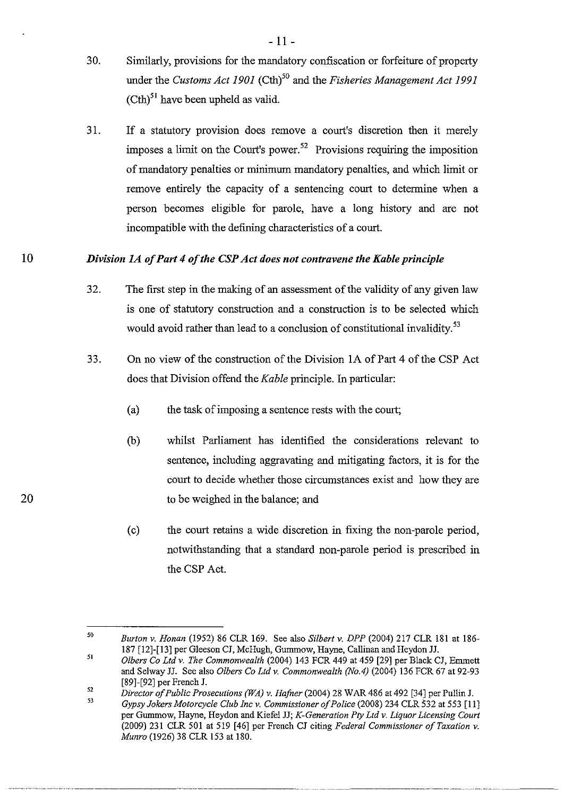- 30. Similarly, provisions for the mandatory confiscation or forfeiture of property under the *Customs Act 1901* (Cth)<sup>50</sup> and the *Fisheries Management Act 1991*  $(Cth)<sup>51</sup>$  have been upheld as valid.
- 31. If a statutory provision does remove a court's discretion then it merely imposes a limit on the Court's power.<sup>52</sup> Provisions requiring the imposition of mandatory penalties or minimum mandatory penalties, and which limit or remove entirely the capacity of a sentencing court to determine when a person becomes eligible for parole, have a long history and are not incompatible with the defming characteristics of a court.

#### 10 *Division lA of Part* 4 *of the CSP Act does not contravene the Kable principle*

- 32. The first step in the making of an assessment ofthe validity of any given law is one of statutory construction and a construction is to be selected which would avoid rather than lead to a conclusion of constitutional invalidity.<sup>53</sup>
- 33. On no view of the construction of the Division lA of Part 4 of the CSP Act does that Division offend the *Kable* principle. In particular:
	- (a) the task of imposing a sentence rests with the court;
	- (b) whilst Parliament has identified the considerations relevant to sentence, including aggravating and mitigating factors, it is for the court to decide whether those circumstances exist and how they are to be weighed in the balance; and
	- (c) the court retains a wide discretion in fixing the non-parole period, notwithstanding that a standard non-parole period is prescribed in the CSP Act.

<sup>50</sup>  *Burton* v. *Honon* (1952) 86 CLR 169. See also *Si/bert* v. *DPP* (2004) 217 CLR 181 at 186- 187 [12]-[13] per Gleeson CJ, McHugh, Gummow, Hayne, Callinan and Heydon JJ.

<sup>51</sup>  *Olbers* Co *Ltd* v. *The Commonwealth* (2004) 143 FCR 449 at 459 [29] per Black CJ, Enunett and Selway JJ. See also *Olbers* Co *Lld* v. *Commonwealth (No.4)* (2004) 136 FCR 67 at 92-93 [89]-[92] per French J.

<sup>52</sup>  *Director of Public Prosecutions (WA)* v. *Hafner* (2004) 28 WAR 486 at 492 [34] per Pullin J.

<sup>53</sup>  *Gypsy Jokers Motorcycle Club Inc* v. *Commissioner of Police* (2008) 234 CLR 532 at 553 [11] per Gummow, Hayne, Heydon and Kiefel JJ; *K-Generation Ply Ltd* v. *Liquor Licensing Court*  (2009) 231 CLR SOl at 519 [46] per French CJ citing *Federal Commissioner of Taxation* v. *Munro* (1926) 38 CLR 153 at 180.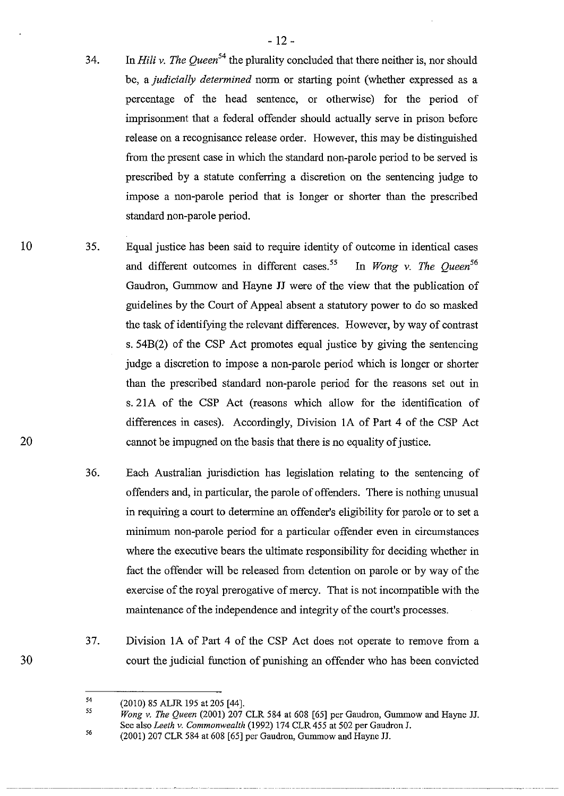- 34. In *Hili* v. *The Queen<sup>54</sup>*the plurality concluded that there neither is, nor should be, a *judicially determined* norm or starting point (whether expressed as a percentage of the head sentence, or otherwise) for the period of imprisonment that a federal offender should actually serve in prison before release on a recognisance release order. However, this may be distinguished from the present case in which the standard non-parole period to be served is prescribed by a statute conferring a discretion on the sentencing judge to impose a non-parole period that is longer or shorter than the prescribed standard non-parole period.
- 35. Equal justice has been said to require identity of outcome in identical cases and different outcomes in different cases.<sup>55</sup> In *Wong v. The Oueen*<sup>56</sup> Gaudron, Gummow and Hayne JJ were of the view that the publication of guidelines by the Court of Appeal absent a statutory power to do so masked the task of identifying the relevant differences. However, by way of contrast s. 54B(2) of the CSP Act promotes equal justice by giving the sentencing judge a discretion to impose a non-parole period which is longer or shorter than the prescribed standard non-parole period for the reasons set out in s. 21A of the CSP Act (reasons which allow for the identification of differences in cases). Accordingly, Division lA of Part 4 of the CSP Act cannot be impugned on the basis that there is no equality of justice.
	- 36. Each Australian jurisdiction has legislation relating to the sentencing of offenders and, in particular, the parole of offenders. There is nothing unusual in requiring a court to determine an offender's eligibility for parole or to set a minimum non-parole period for a particular offender even in circumstances where the executive bears the ultimate responsibility for deciding whether in fact the offender will be released from detention on parole or by way of the exercise of the royal prerogative of mercy. That is not incompatible with the maintenance of the independence and integrity of the court's processes.
	- 37. Division lA of Part 4 of the CSP Act does not operate to remove from a court the judicial function of punishing an offender who has been convicted

10

20

<sup>54</sup>  (2010) 85 ALJR 195 at 205 [44].

<sup>55</sup> 56 *Wong v. The Queen* (2001) 207 CLR 584 at 608 [65] per Gaudron, Gummow and Hayne JJ. See also *Leeth* v. *Commonwealth* (1992) 174 CLR 455 at 502 per Gaudron J.

<sup>(2001) 207</sup> CLR 584 at 608 [65] per Gaudron, Gummow and Hayne JJ.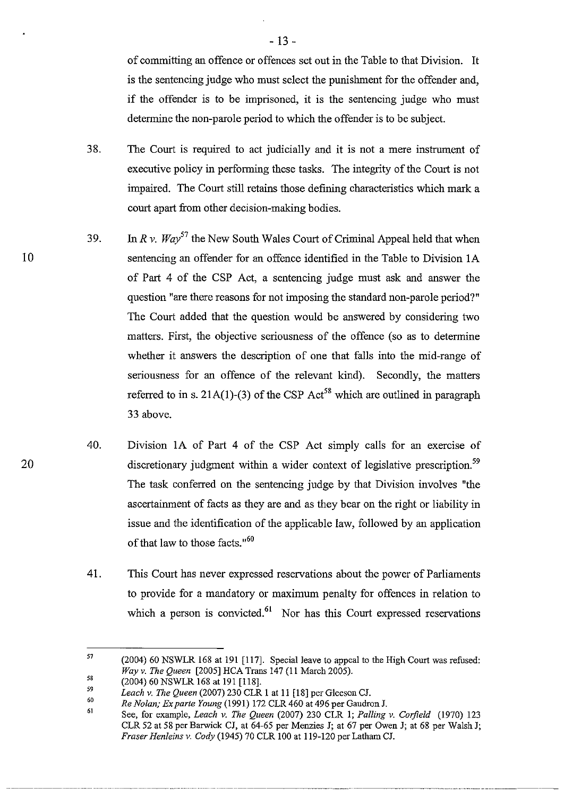of committing an offence or offences set out in the Table to that Division. It is the sentencing judge who must select the punishment for the offender and, if the offender is to be imprisoned, it is the sentencing judge who must determine the non-parole period to which the offender is to be subject.

- 38. The Court is required to act judicially and it is not a mere instrument of executive policy in performing these tasks. The integrity of the Court is not impaired. The Court still retains those defining characteristics which mark a court apart from other decision-making bodies.
- 39. In  $Rv$ . Wav<sup>57</sup> the New South Wales Court of Criminal Appeal held that when sentencing an offender for an offence identified in the Table to Division lA of Part 4 of the CSP Act, a sentencing judge must ask and answer the question "are there reasons for not imposing the standard non-parole period?" The Court added that the question would be answered by considering two matters. First, the objective seriousness of the offence (so as to determine whether it answers the description of one that falls into the mid-range of seriousness for an offence of the relevant kind). Secondly, the matters referred to in s. 21A(1)-(3) of the CSP Act<sup>58</sup> which are outlined in paragraph 33 above.
- 40. Division 1A of Part 4 of the CSP Act simply calls for an exercise of discretionary judgment within a wider context of legislative prescription.<sup>59</sup> The task conferred on the sentencing judge by that Division involves "the ascertainment of facts as they are and as they bear on the right or liability in issue and the identification of the applicable law, followed by an application of that law to those facts."<sup>60</sup>
- 41. This Court has never expressed reservations about the power of Parliaments to provide for a mandatory or maximum penalty for offences in relation to which a person is convicted. $61$  Nor has this Court expressed reservations

10

<sup>57</sup>  58 (2004) 60 NSWLR 168 at 191 [117]. Special leave to appeal to the High Court was refused: *Way* v. *The Queen* [2005] HCA Trans 147 (11 March 2005).

<sup>(2004) 60</sup> NSWLR 168 at 191 [118].

<sup>59&</sup>lt;br>60 *Leach* v. *The Queen* (2007) 230 CLR 1 at 11 [18] per Gleeson CJ.

<sup>61</sup>  *Re Nolan; Exparte Young* (1991) 172 CLR 460 at 496 per GaudronJ.

See, for example, *Leach* v. *The Queen* (2007) 230 CLR I; *Palling* v. *Corfield* (1970) 123 CLR 52 at 58 per Barwick CJ, at 64-65 per Menzies J; at 67 per Owen J; at 68 per Walsh J; *Fraser Henleins* v. *eody* (1945) 70 CLR lOO at 119-120 per Latham CJ.